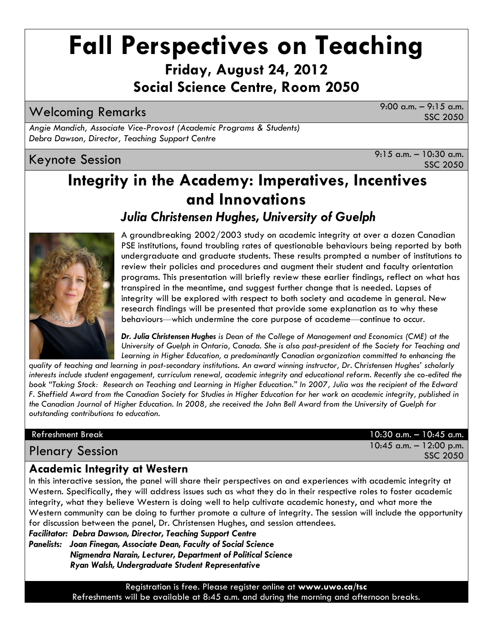# **Fall Perspectives on Teaching Friday, August 24, 2012**

**Social Science Centre, Room 2050**

Welcoming Remarks 9:00 a.m. – 9:15 a.m.

SSC 2050

*Angie Mandich, Associate Vice-Provost (Academic Programs & Students) Debra Dawson, Director, Teaching Support Centre*

Keynote Session  $\overline{S}$  a.m. – 10:30 a.m. SSC 2050

# **Integrity in the Academy: Imperatives, Incentives and Innovations**

*Julia Christensen Hughes, University of Guelph*



A groundbreaking 2002/2003 study on academic integrity at over a dozen Canadian PSE institutions, found troubling rates of questionable behaviours being reported by both undergraduate and graduate students. These results prompted a number of institutions to review their policies and procedures and augment their student and faculty orientation programs. This presentation will briefly review these earlier findings, reflect on what has transpired in the meantime, and suggest further change that is needed. Lapses of integrity will be explored with respect to both society and academe in general. New research findings will be presented that provide some explanation as to why these behaviours—which undermine the core purpose of academe—continue to occur.

*Dr. Julia Christensen Hughes is Dean of the College of Management and Economics (CME) at the University of Guelph in Ontario, Canada. She is also past-president of the Society for Teaching and Learning in Higher Education, a predominantly Canadian organization committed to enhancing the* 

*quality of teaching and learning in post-secondary institutions. An award winning instructor, Dr. Christensen Hughes' scholarly interests include student engagement, curriculum renewal, academic integrity and educational reform. Recently she co-edited the book "Taking Stock: Research on Teaching and Learning in Higher Education." In 2007, Julia was the recipient of the Edward F. Sheffield Award from the Canadian Society for Studies in Higher Education for her work on academic integrity, published in the Canadian Journal of Higher Education. In 2008, she received the John Bell Award from the University of Guelph for outstanding contributions to education.*

Refreshment Break 10:30 a.m. – 10:45 a.m. Plenary Session 10:45 a.m. – 12:00 p.m. SSC 2050

## **Academic Integrity at Western**

In this interactive session, the panel will share their perspectives on and experiences with academic integrity at Western. Specifically, they will address issues such as what they do in their respective roles to foster academic integrity, what they believe Western is doing well to help cultivate academic honesty, and what more the Western community can be doing to further promote a culture of integrity. The session will include the opportunity for discussion between the panel, Dr. Christensen Hughes, and session attendees.

*Facilitator: Debra Dawson, Director, Teaching Support Centre*

*Panelists: Joan Finegan, Associate Dean, Faculty of Social Science Nigmendra Narain, Lecturer, Department of Political Science Ryan Walsh, Undergraduate Student Representative*